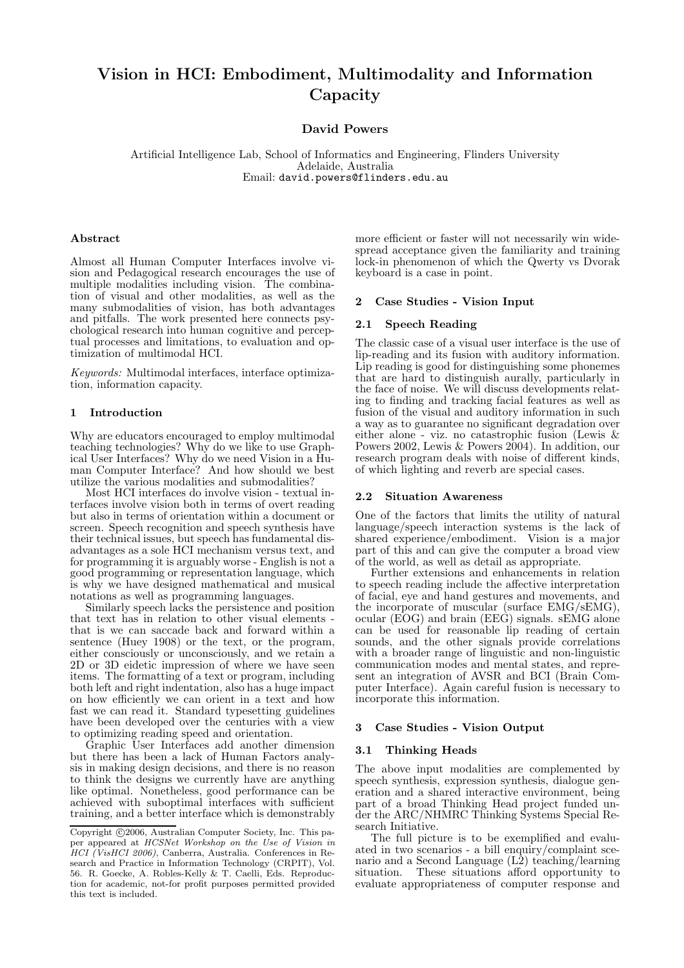# Vision in HCI: Embodiment, Multimodality and Information **Capacity**

David Powers

Artificial Intelligence Lab, School of Informatics and Engineering, Flinders University Adelaide, Australia Email: david.powers@flinders.edu.au

## Abstract

Almost all Human Computer Interfaces involve vision and Pedagogical research encourages the use of multiple modalities including vision. The combination of visual and other modalities, as well as the many submodalities of vision, has both advantages and pitfalls. The work presented here connects psychological research into human cognitive and perceptual processes and limitations, to evaluation and optimization of multimodal HCI.

Keywords: Multimodal interfaces, interface optimization, information capacity.

## 1 Introduction

Why are educators encouraged to employ multimodal teaching technologies? Why do we like to use Graphical User Interfaces? Why do we need Vision in a Human Computer Interface? And how should we best utilize the various modalities and submodalities?

Most HCI interfaces do involve vision - textual interfaces involve vision both in terms of overt reading but also in terms of orientation within a document or screen. Speech recognition and speech synthesis have their technical issues, but speech has fundamental disadvantages as a sole HCI mechanism versus text, and for programming it is arguably worse - English is not a good programming or representation language, which is why we have designed mathematical and musical notations as well as programming languages.

Similarly speech lacks the persistence and position that text has in relation to other visual elements that is we can saccade back and forward within a sentence (Huey 1908) or the text, or the program, either consciously or unconsciously, and we retain a 2D or 3D eidetic impression of where we have seen items. The formatting of a text or program, including both left and right indentation, also has a huge impact on how efficiently we can orient in a text and how fast we can read it. Standard typesetting guidelines have been developed over the centuries with a view to optimizing reading speed and orientation.

Graphic User Interfaces add another dimension but there has been a lack of Human Factors analysis in making design decisions, and there is no reason to think the designs we currently have are anything like optimal. Nonetheless, good performance can be achieved with suboptimal interfaces with sufficient training, and a better interface which is demonstrably

more efficient or faster will not necessarily win widespread acceptance given the familiarity and training lock-in phenomenon of which the Qwerty vs Dvorak keyboard is a case in point.

#### 2 Case Studies - Vision Input

#### 2.1 Speech Reading

The classic case of a visual user interface is the use of lip-reading and its fusion with auditory information. Lip reading is good for distinguishing some phonemes that are hard to distinguish aurally, particularly in the face of noise. We will discuss developments relating to finding and tracking facial features as well as fusion of the visual and auditory information in such a way as to guarantee no significant degradation over either alone - viz. no catastrophic fusion (Lewis & Powers 2002, Lewis & Powers 2004). In addition, our research program deals with noise of different kinds, of which lighting and reverb are special cases.

#### 2.2 Situation Awareness

One of the factors that limits the utility of natural language/speech interaction systems is the lack of shared experience/embodiment. Vision is a major part of this and can give the computer a broad view of the world, as well as detail as appropriate.

Further extensions and enhancements in relation to speech reading include the affective interpretation of facial, eye and hand gestures and movements, and the incorporate of muscular (surface EMG/sEMG), ocular (EOG) and brain (EEG) signals. sEMG alone can be used for reasonable lip reading of certain sounds, and the other signals provide correlations with a broader range of linguistic and non-linguistic communication modes and mental states, and represent an integration of AVSR and BCI (Brain Computer Interface). Again careful fusion is necessary to incorporate this information.

#### 3 Case Studies - Vision Output

#### 3.1 Thinking Heads

The above input modalities are complemented by speech synthesis, expression synthesis, dialogue generation and a shared interactive environment, being part of a broad Thinking Head project funded under the ARC/NHMRC Thinking Systems Special Research Initiative.

The full picture is to be exemplified and evaluated in two scenarios - a bill enquiry/complaint scenario and a Second Language  $(L<sup>2</sup>)$  teaching/learning situation. These situations afford opportunity to These situations afford opportunity to evaluate appropriateness of computer response and

Copyright ©2006, Australian Computer Society, Inc. This paper appeared at HCSNet Workshop on the Use of Vision in HCI (VisHCI 2006), Canberra, Australia. Conferences in Research and Practice in Information Technology (CRPIT), Vol. 56. R. Goecke, A. Robles-Kelly & T. Caelli, Eds. Reproduction for academic, not-for profit purposes permitted provided this text is included.